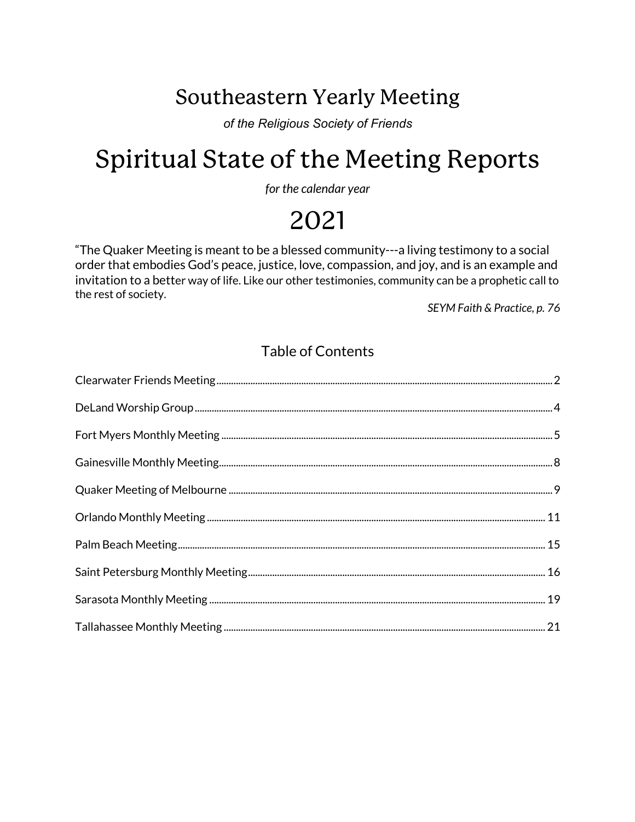# Southeastern Yearly Meeting

*of the Religious Society of Friends*

# Spiritual State of the Meeting Reports

*for the calendar year*

# 2021

"The Quaker Meeting is meant to be a blessed community---a living testimony to a social order that embodies God's peace, justice, love, compassion, and joy, and is an example and invitation to a better way of life. Like our other testimonies, community can be a prophetic call to the rest of society.

*SEYM Faith & Practice, p. 76*

### Table of Contents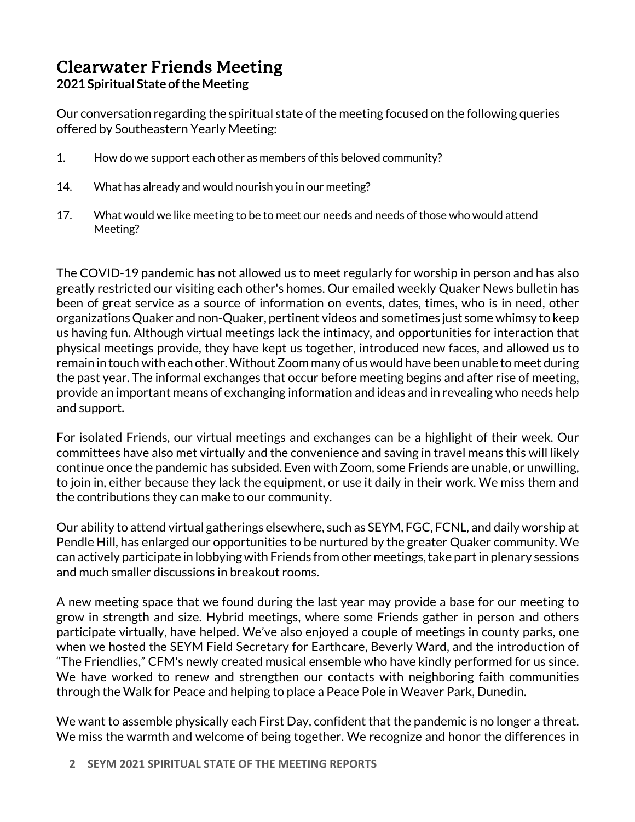# Clearwater Friends Meeting

#### **2021 Spiritual State oftheMeeting**

Our conversation regarding the spiritual state of the meeting focused on the following queries offered by Southeastern Yearly Meeting:

- 1. How do we support each other as members of this beloved community?
- 14. What has already and would nourish you in our meeting?
- 17. What would we like meeting to be to meet our needs and needs ofthose who would attend Meeting?

The COVID-19 pandemic has not allowed us to meet regularly for worship in person and has also greatly restricted our visiting each other's homes. Our emailed weekly Quaker News bulletin has been of great service as a source of information on events, dates, times, who is in need, other organizations Quaker and non-Quaker, pertinent videos and sometimes just some whimsy to keep us having fun. Although virtual meetings lack the intimacy, and opportunities for interaction that physical meetings provide, they have kept us together, introduced new faces, and allowed us to remain in touch with each other. Without Zoom many of us would have been unable to meet during the past year. The informal exchanges that occur before meeting begins and after rise of meeting, provide an important means of exchanging information and ideas and in revealing who needs help and support.

For isolated Friends, our virtual meetings and exchanges can be a highlight of their week. Our committees have also met virtually and the convenience and saving in travel means this will likely continue once the pandemic has subsided. Even with Zoom, some Friends are unable, or unwilling, to join in, either because they lack the equipment, or use it daily in their work. We miss them and the contributions they can make to our community.

Our ability to attend virtual gatherings elsewhere, such as SEYM, FGC, FCNL, and daily worship at Pendle Hill, has enlarged our opportunities to be nurtured by the greater Quaker community. We can actively participate in lobbying with Friends from other meetings, take part in plenary sessions and much smaller discussions in breakout rooms.

A new meeting space that we found during the last year may provide a base for our meeting to grow in strength and size. Hybrid meetings, where some Friends gather in person and others participate virtually, have helped. We've also enjoyed a couple of meetings in county parks, one when we hosted the SEYM Field Secretary for Earthcare, Beverly Ward, and the introduction of "The Friendlies," CFM's newly created musical ensemble who have kindly performed for us since. We have worked to renew and strengthen our contacts with neighboring faith communities through the Walk for Peace and helping to place a Peace Pole in Weaver Park, Dunedin.

We want to assemble physically each First Day, confident that the pandemic is no longer a threat. We miss the warmth and welcome of being together. We recognize and honor the differences in

**2 SEYM 2021 SPIRITUAL STATE OF THE MEETING REPORTS**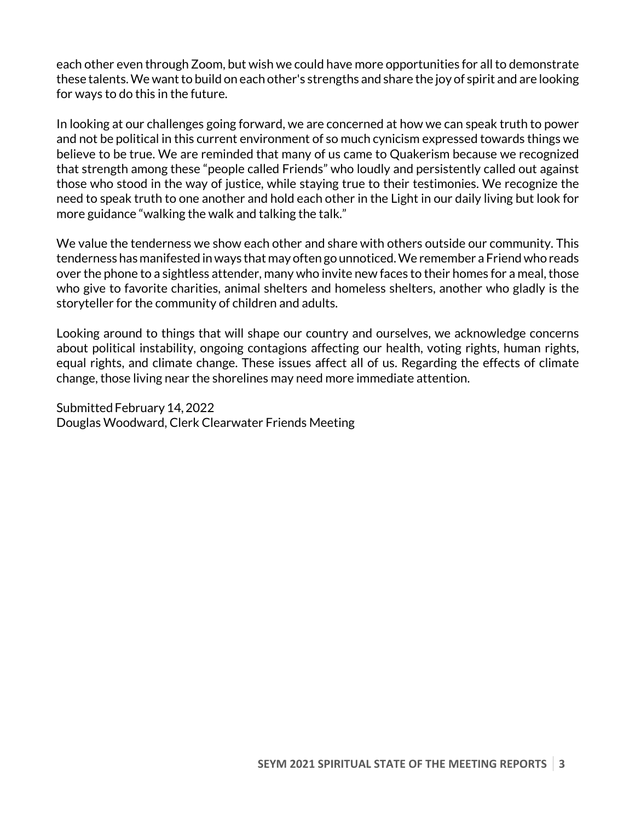each other even through Zoom, but wish we could have more opportunities for all to demonstrate these talents. We want to build on each other's strengths and share the joy of spirit and are looking for ways to do this in the future.

In looking at our challenges going forward, we are concerned at how we can speak truth to power and not be political in this current environment of so much cynicism expressed towards things we believe to be true. We are reminded that many of us came to Quakerism because we recognized that strength among these "people called Friends" who loudly and persistently called out against those who stood in the way of justice, while staying true to their testimonies. We recognize the need to speak truth to one another and hold each other in the Light in our daily living but look for more guidance "walking the walk and talking the talk."

We value the tenderness we show each other and share with others outside our community. This tenderness has manifested in ways that may often go unnoticed. We remember a Friend who reads over the phone to a sightless attender, many who invite new faces to their homes for a meal, those who give to favorite charities, animal shelters and homeless shelters, another who gladly is the storyteller for the community of children and adults.

Looking around to things that will shape our country and ourselves, we acknowledge concerns about political instability, ongoing contagions affecting our health, voting rights, human rights, equal rights, and climate change. These issues affect all of us. Regarding the effects of climate change, those living near the shorelines may need more immediate attention.

Submitted February 14, 2022 Douglas Woodward, Clerk Clearwater Friends Meeting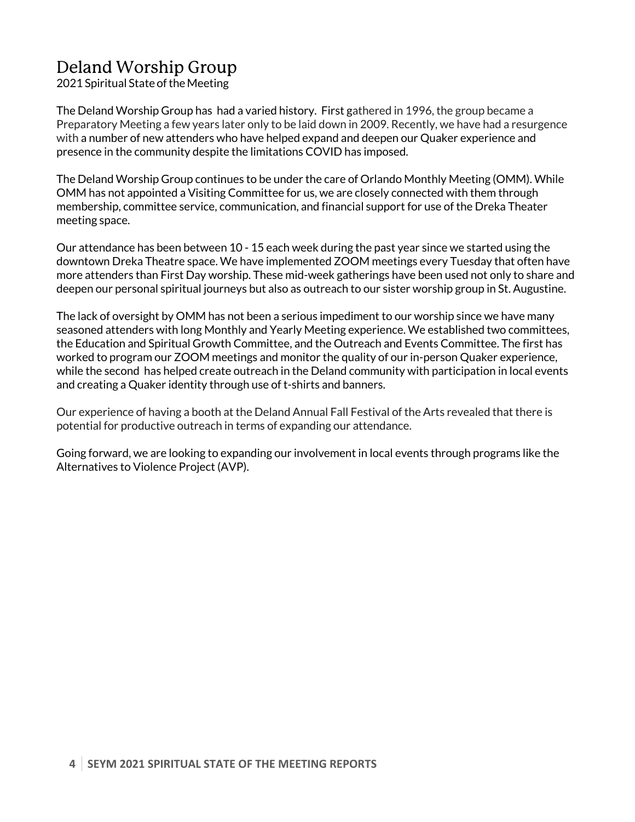# Deland Worship Group

2021 Spiritual State of the Meeting

The Deland Worship Group has had a varied history. First gathered in 1996, the group became a Preparatory Meeting a few years later only to be laid down in 2009. Recently, we have had a resurgence with a number of new attenders who have helped expand and deepen our Quaker experience and presence in the community despite the limitations COVID has imposed.

The Deland Worship Group continues to be under the care of Orlando Monthly Meeting (OMM). While OMM has not appointed a Visiting Committee for us, we are closely connected with them through membership, committee service, communication, and financial support for use of the Dreka Theater meeting space.

Our attendance has been between 10 - 15 each week during the past year since we started using the downtown Dreka Theatre space. We have implemented ZOOM meetings every Tuesday that often have more attenders than First Day worship. These mid-week gatherings have been used not only to share and deepen our personal spiritual journeys but also as outreach to our sister worship group in St. Augustine.

The lack of oversight by OMM has not been a serious impediment to our worship since we have many seasoned attenders with long Monthly and Yearly Meeting experience. We established two committees, the Education and Spiritual Growth Committee, and the Outreach and Events Committee. The first has worked to program our ZOOM meetings and monitor the quality of our in-person Quaker experience, while the second has helped create outreach in the Deland community with participation in local events and creating a Quaker identity through use of t-shirts and banners.

Our experience of having a booth at the Deland Annual Fall Festival of the Arts revealed that there is potential for productive outreach in terms of expanding our attendance.

Going forward, we are looking to expanding our involvement in local events through programs like the Alternatives to Violence Project (AVP).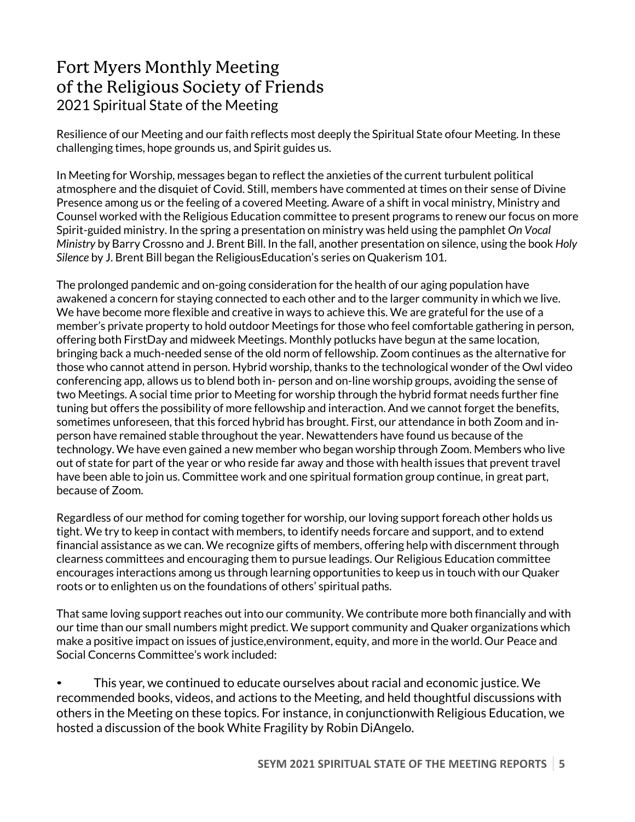## Fort Myers Monthly Meeting of the Religious Society of Friends 2021 Spiritual State of the Meeting

Resilience of our Meeting and our faith reflects most deeply the Spiritual State ofour Meeting. In these challenging times, hope grounds us, and Spirit guides us.

In Meeting for Worship, messages began to reflect the anxieties of the current turbulent political atmosphere and the disquiet of Covid. Still, members have commented at times on their sense of Divine Presence among us or the feeling of a covered Meeting. Aware of a shift in vocal ministry, Ministry and Counsel worked with the Religious Education committee to present programs to renew our focus on more Spirit-guided ministry. In the spring a presentation on ministry was held using the pamphlet *On Vocal Ministry* by Barry Crossno and J. Brent Bill. In the fall, another presentation on silence, using the book *Holy Silence* by J. Brent Bill began the ReligiousEducation's series on Quakerism 101.

The prolonged pandemic and on-going consideration for the health of our aging population have awakened a concern for staying connected to each other and to the larger community in which we live. We have become more flexible and creative in ways to achieve this. We are grateful for the use of a member's private property to hold outdoor Meetings for those who feel comfortable gathering in person, offering both FirstDay and midweek Meetings. Monthly potlucks have begun at the same location, bringing back a much-needed sense of the old norm of fellowship. Zoom continues as the alternative for those who cannot attend in person. Hybrid worship, thanks to the technological wonder of the Owl video conferencing app, allows us to blend both in- person and on-line worship groups, avoiding the sense of two Meetings. A social time prior to Meeting for worship through the hybrid format needs further fine tuning but offers the possibility of more fellowship and interaction. And we cannot forget the benefits, sometimes unforeseen, that this forced hybrid has brought. First, our attendance in both Zoom and inperson have remained stable throughout the year. Newattenders have found us because of the technology. We have even gained a new member who began worship through Zoom. Members who live out of state for part of the year or who reside far away and those with health issues that prevent travel have been able to join us. Committee work and one spiritual formation group continue, in great part, because of Zoom.

Regardless of our method for coming together for worship, our loving support foreach other holds us tight. We try to keep in contact with members, to identify needs forcare and support, and to extend financial assistance as we can. We recognize gifts of members, offering help with discernment through clearness committees and encouraging them to pursue leadings. Our Religious Education committee encourages interactions among us through learning opportunities to keep us in touch with our Quaker roots or to enlighten us on the foundations of others' spiritual paths.

That same loving support reaches out into our community. We contribute more both financially and with our time than our small numbers might predict. We support community and Quaker organizations which make a positive impact on issues of justice,environment, equity, and more in the world. Our Peace and Social Concerns Committee's work included:

• This year, we continued to educate ourselves about racial and economic justice. We recommended books, videos, and actions to the Meeting, and held thoughtful discussions with others in the Meeting on these topics. For instance, in conjunctionwith Religious Education, we hosted a discussion of the book White Fragility by Robin DiAngelo.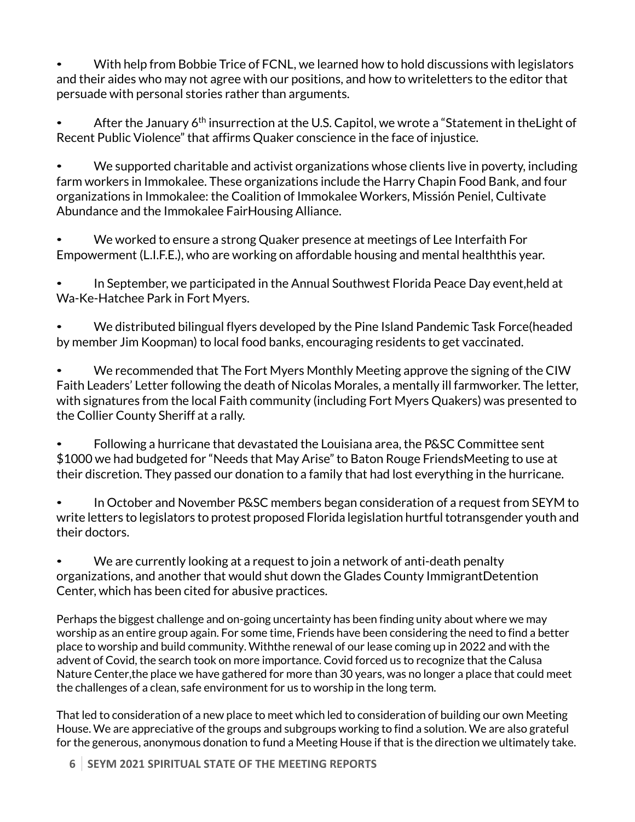• With help from Bobbie Trice of FCNL, we learned how to hold discussions with legislators and their aides who may not agree with our positions, and how to writeletters to the editor that persuade with personal stories rather than arguments.

After the January 6<sup>th</sup> insurrection at the U.S. Capitol, we wrote a "Statement in the Light of Recent Public Violence" that affirms Quaker conscience in the face of injustice.

• We supported charitable and activist organizations whose clients live in poverty, including farm workers in Immokalee. These organizations include the Harry Chapin Food Bank, and four organizations in Immokalee: the Coalition of Immokalee Workers, Missión Peniel, Cultivate Abundance and the Immokalee FairHousing Alliance.

• We worked to ensure a strong Quaker presence at meetings of Lee Interfaith For Empowerment (L.I.F.E.), who are working on affordable housing and mental healththis year.

• In September, we participated in the Annual Southwest Florida Peace Day event,held at Wa-Ke-Hatchee Park in Fort Myers.

• We distributed bilingual flyers developed by the Pine Island Pandemic Task Force(headed by member Jim Koopman) to local food banks, encouraging residents to get vaccinated.

• We recommended that The Fort Myers Monthly Meeting approve the signing of the CIW Faith Leaders' Letter following the death of Nicolas Morales, a mentally ill farmworker. The letter, with signatures from the local Faith community (including Fort Myers Quakers) was presented to the Collier County Sheriff at a rally.

• Following a hurricane that devastated the Louisiana area, the P&SC Committee sent \$1000 we had budgeted for "Needs that May Arise" to Baton Rouge FriendsMeeting to use at their discretion. They passed our donation to a family that had lost everything in the hurricane.

• In October and November P&SC members began consideration of a request from SEYM to write letters to legislators to protest proposed Florida legislation hurtful totransgender youth and their doctors.

• We are currently looking at a request to join a network of anti-death penalty organizations, and another that would shut down the Glades County ImmigrantDetention Center, which has been cited for abusive practices.

Perhaps the biggest challenge and on-going uncertainty has been finding unity about where we may worship as an entire group again. For some time, Friends have been considering the need to find a better place to worship and build community. Withthe renewal of our lease coming up in 2022 and with the advent of Covid, the search took on more importance. Covid forced us to recognize that the Calusa Nature Center,the place we have gathered for more than 30 years, was no longer a place that could meet the challenges of a clean, safe environment for us to worship in the long term.

That led to consideration of a new place to meet which led to consideration of building our own Meeting House. We are appreciative of the groups and subgroups working to find a solution. We are also grateful for the generous, anonymous donation to fund a Meeting House if that is the direction we ultimately take.

**6 SEYM 2021 SPIRITUAL STATE OF THE MEETING REPORTS**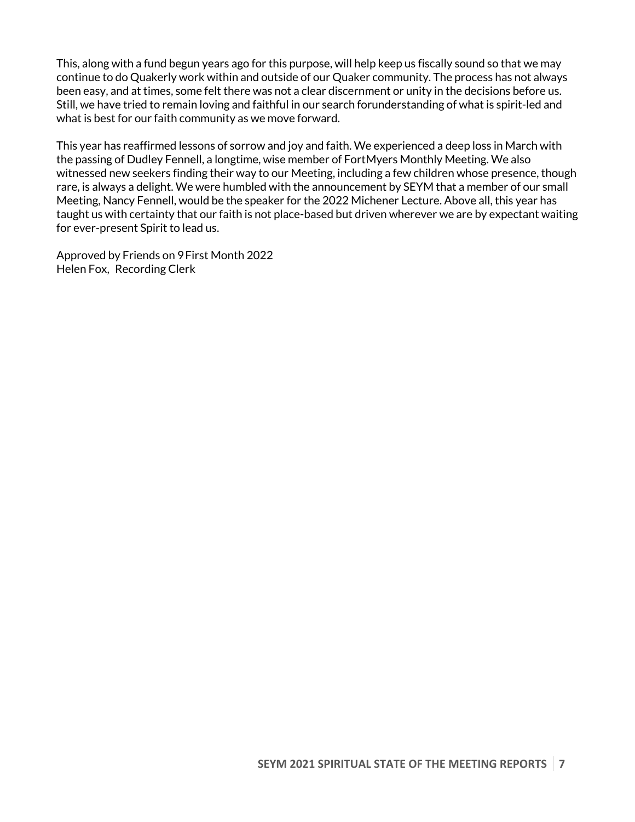This, along with a fund begun years ago for this purpose, will help keep us fiscally sound so that we may continue to do Quakerly work within and outside of our Quaker community. The process has not always been easy, and at times, some felt there was not a clear discernment or unity in the decisions before us. Still, we have tried to remain loving and faithful in our search forunderstanding of what is spirit-led and what is best for our faith community as we move forward.

This year has reaffirmed lessons of sorrow and joy and faith. We experienced a deep loss in March with the passing of Dudley Fennell, a longtime, wise member of FortMyers Monthly Meeting. We also witnessed new seekers finding their way to our Meeting, including a few children whose presence, though rare, is always a delight. We were humbled with the announcement by SEYM that a member of our small Meeting, Nancy Fennell, would be the speaker for the 2022 Michener Lecture. Above all, this year has taught us with certainty that our faith is not place-based but driven wherever we are by expectant waiting for ever-present Spirit to lead us.

Approved by Friends on 9First Month 2022 Helen Fox, Recording Clerk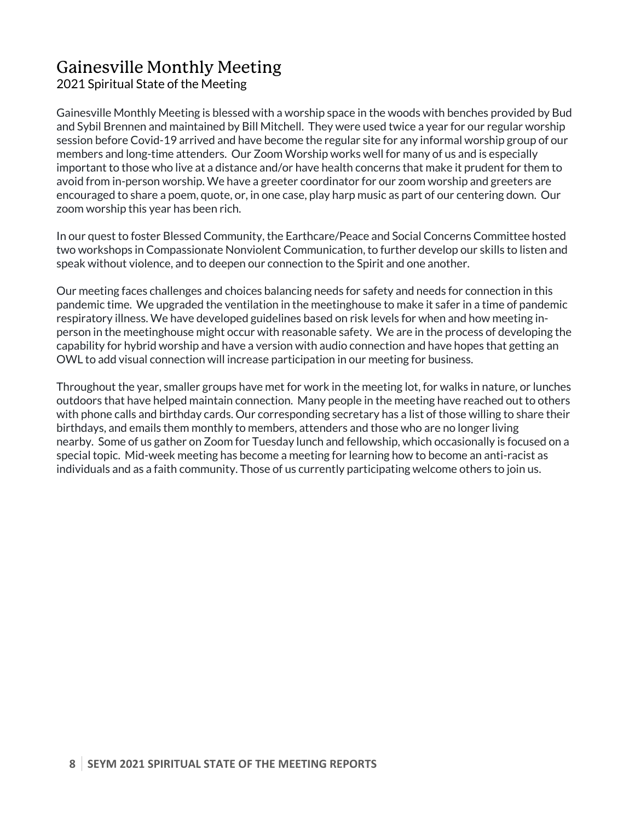# Gainesville Monthly Meeting

### 2021 Spiritual State of the Meeting

Gainesville Monthly Meeting is blessed with a worship space in the woods with benches provided by Bud and Sybil Brennen and maintained by Bill Mitchell. They were used twice a year for our regular worship session before Covid-19 arrived and have become the regular site for any informal worship group of our members and long-time attenders. Our Zoom Worship works well for many of us and is especially important to those who live at a distance and/or have health concerns that make it prudent for them to avoid from in-person worship. We have a greeter coordinator for our zoom worship and greeters are encouraged to share a poem, quote, or, in one case, play harp music as part of our centering down. Our zoom worship this year has been rich.

In our quest to foster Blessed Community, the Earthcare/Peace and Social Concerns Committee hosted two workshops in Compassionate Nonviolent Communication, to further develop our skills to listen and speak without violence, and to deepen our connection to the Spirit and one another.

Our meeting faces challenges and choices balancing needs for safety and needs for connection in this pandemic time. We upgraded the ventilation in the meetinghouse to make it safer in a time of pandemic respiratory illness. We have developed guidelines based on risk levels for when and how meeting inperson in the meetinghouse might occur with reasonable safety. We are in the process of developing the capability for hybrid worship and have a version with audio connection and have hopes that getting an OWL to add visual connection will increase participation in our meeting for business.

Throughout the year, smaller groups have met for work in the meeting lot, for walks in nature, or lunches outdoors that have helped maintain connection. Many people in the meeting have reached out to others with phone calls and birthday cards. Our corresponding secretary has a list of those willing to share their birthdays, and emails them monthly to members, attenders and those who are no longer living nearby. Some of us gather on Zoom for Tuesday lunch and fellowship, which occasionally is focused on a special topic. Mid-week meeting has become a meeting for learning how to become an anti-racist as individuals and as a faith community. Those of us currently participating welcome others to join us.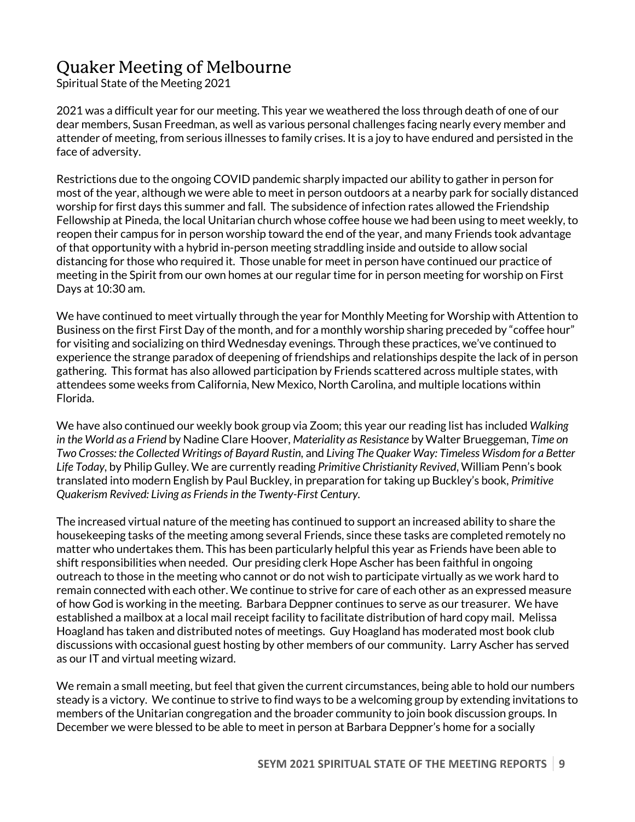# Quaker Meeting of Melbourne

Spiritual State of the Meeting 2021

2021 was a difficult year for our meeting. This year we weathered the loss through death of one of our dear members, Susan Freedman, as well as various personal challenges facing nearly every member and attender of meeting, from serious illnesses to family crises. It is a joy to have endured and persisted in the face of adversity.

Restrictions due to the ongoing COVID pandemic sharply impacted our ability to gather in person for most of the year, although we were able to meet in person outdoors at a nearby park for socially distanced worship for first days this summer and fall. The subsidence of infection rates allowed the Friendship Fellowship at Pineda, the local Unitarian church whose coffee house we had been using to meet weekly, to reopen their campus for in person worship toward the end of the year, and many Friends took advantage of that opportunity with a hybrid in-person meeting straddling inside and outside to allow social distancing for those who required it. Those unable for meet in person have continued our practice of meeting in the Spirit from our own homes at our regular time for in person meeting for worship on First Days at 10:30 am.

We have continued to meet virtually through the year for Monthly Meeting for Worship with Attention to Business on the first First Day of the month, and for a monthly worship sharing preceded by "coffee hour" for visiting and socializing on third Wednesday evenings. Through these practices, we've continued to experience the strange paradox of deepening of friendships and relationships despite the lack of in person gathering. This format has also allowed participation by Friends scattered across multiple states, with attendees some weeks from California, New Mexico, North Carolina, and multiple locations within Florida.

We have also continued our weekly book group via Zoom; this year our reading list has included *Walking in the World as a Friend* by Nadine Clare Hoover*, Materiality as Resistance* by Walter Brueggeman, *Time on Two Crosses: the Collected Writings of Bayard Rustin,* and *Living The Quaker Way: Timeless Wisdom for a Better Life Today,* by Philip Gulley. We are currently reading *Primitive Christianity Revived*, William Penn's book translated into modern English by Paul Buckley, in preparation for taking up Buckley's book, *Primitive Quakerism Revived: Living as Friends in the Twenty-First Century.*

The increased virtual nature of the meeting has continued to support an increased ability to share the housekeeping tasks of the meeting among several Friends, since these tasks are completed remotely no matter who undertakes them. This has been particularly helpful this year as Friends have been able to shift responsibilities when needed. Our presiding clerk Hope Ascher has been faithful in ongoing outreach to those in the meeting who cannot or do not wish to participate virtually as we work hard to remain connected with each other. We continue to strive for care of each other as an expressed measure of how God is working in the meeting. Barbara Deppner continues to serve as our treasurer. We have established a mailbox at a local mail receipt facility to facilitate distribution of hard copy mail. Melissa Hoagland has taken and distributed notes of meetings. Guy Hoagland has moderated most book club discussions with occasional guest hosting by other members of our community. Larry Ascher has served as our IT and virtual meeting wizard.

We remain a small meeting, but feel that given the current circumstances, being able to hold our numbers steady is a victory. We continue to strive to find ways to be a welcoming group by extending invitations to members of the Unitarian congregation and the broader community to join book discussion groups. In December we were blessed to be able to meet in person at Barbara Deppner's home for a socially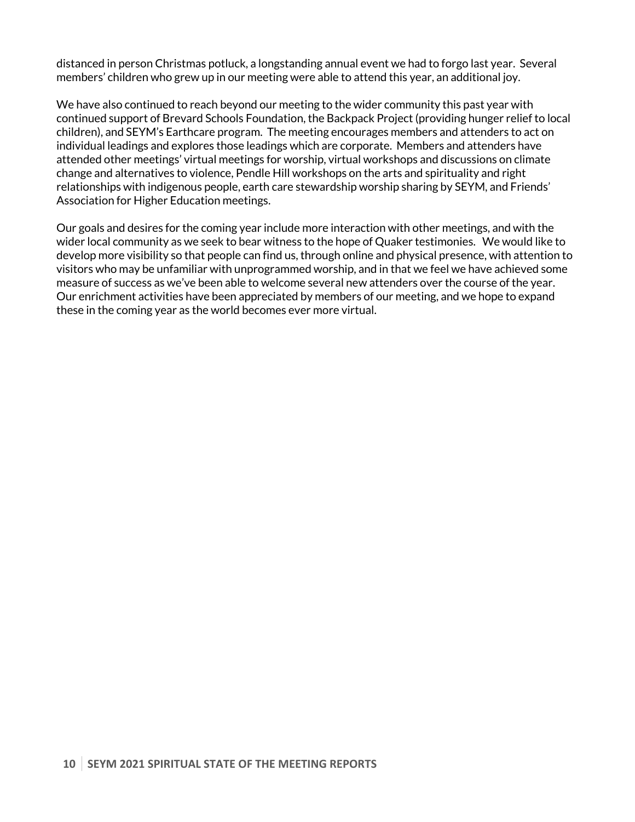distanced in person Christmas potluck, a longstanding annual event we had to forgo last year. Several members' children who grew up in our meeting were able to attend this year, an additional joy.

We have also continued to reach beyond our meeting to the wider community this past year with continued support of Brevard Schools Foundation, the Backpack Project (providing hunger relief to local children), and SEYM's Earthcare program. The meeting encourages members and attenders to act on individual leadings and explores those leadings which are corporate. Members and attenders have attended other meetings' virtual meetings for worship, virtual workshops and discussions on climate change and alternatives to violence, Pendle Hill workshops on the arts and spirituality and right relationships with indigenous people, earth care stewardship worship sharing by SEYM, and Friends' Association for Higher Education meetings.

Our goals and desires for the coming year include more interaction with other meetings, and with the wider local community as we seek to bear witness to the hope of Quaker testimonies. We would like to develop more visibility so that people can find us, through online and physical presence, with attention to visitors who may be unfamiliar with unprogrammed worship, and in that we feel we have achieved some measure of success as we've been able to welcome several new attenders over the course of the year. Our enrichment activities have been appreciated by members of our meeting, and we hope to expand these in the coming year as the world becomes ever more virtual.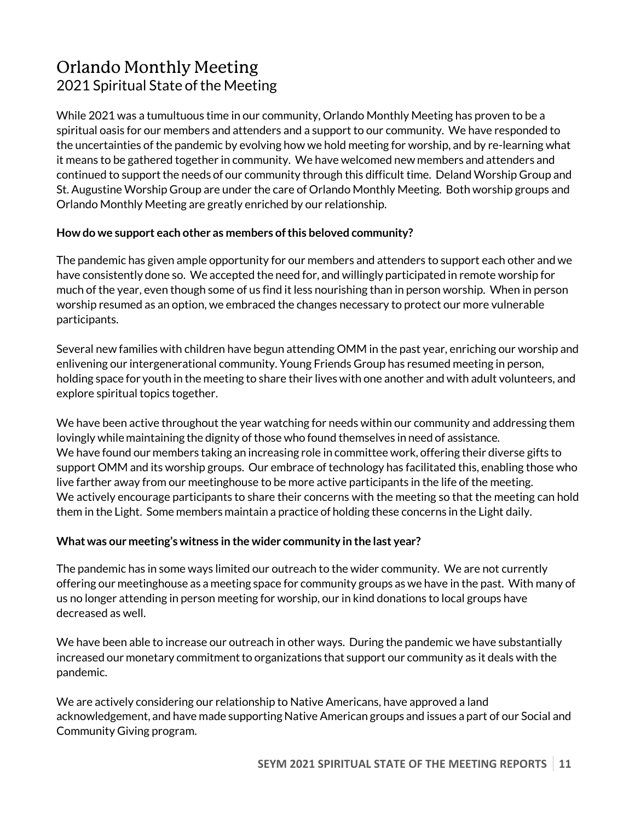## Orlando Monthly Meeting 2021 Spiritual State of the Meeting

While 2021 was a tumultuous time in our community, Orlando Monthly Meeting has proven to be a spiritual oasis for our members and attenders and a support to our community. We have responded to the uncertainties of the pandemic by evolving how we hold meeting for worship, and by re-learning what it means to be gathered together in community. We have welcomed new members and attenders and continued to support the needs of our community through this difficult time. Deland Worship Group and St. Augustine Worship Group are under the care of Orlando Monthly Meeting. Both worship groups and Orlando Monthly Meeting are greatly enriched by our relationship.

#### **How do we support each other as members ofthis beloved community?**

The pandemic has given ample opportunity for our members and attenders to support each other and we have consistently done so. We accepted the need for, and willingly participated in remote worship for much of the year, even though some of us find it less nourishing than in person worship. When in person worship resumed as an option, we embraced the changes necessary to protect our more vulnerable participants.

Several new families with children have begun attending OMM in the past year, enriching our worship and enlivening our intergenerational community. Young Friends Group has resumed meeting in person, holding space for youth in the meeting to share their lives with one another and with adult volunteers, and explore spiritual topics together.

We have been active throughout the year watching for needs within our community and addressing them lovingly while maintaining the dignity of those who found themselves in need of assistance. We have found our members taking an increasing role in committee work, offering their diverse gifts to support OMM and its worship groups. Our embrace of technology has facilitated this, enabling those who live farther away from our meetinghouse to be more active participants in the life of the meeting. We actively encourage participants to share their concerns with the meeting so that the meeting can hold them in the Light. Some members maintain a practice of holding these concerns in the Light daily.

#### **Whatwas our meeting's witness in the wider community in the last year?**

The pandemic has in some ways limited our outreach to the wider community. We are not currently offering our meetinghouse as a meeting space for community groups as we have in the past. With many of us no longer attending in person meeting for worship, our in kind donations to local groups have decreased as well.

We have been able to increase our outreach in other ways. During the pandemic we have substantially increased our monetary commitment to organizations that support our community as it deals with the pandemic.

We are actively considering our relationship to Native Americans, have approved a land acknowledgement, and have made supporting Native American groups and issues a part of our Social and Community Giving program.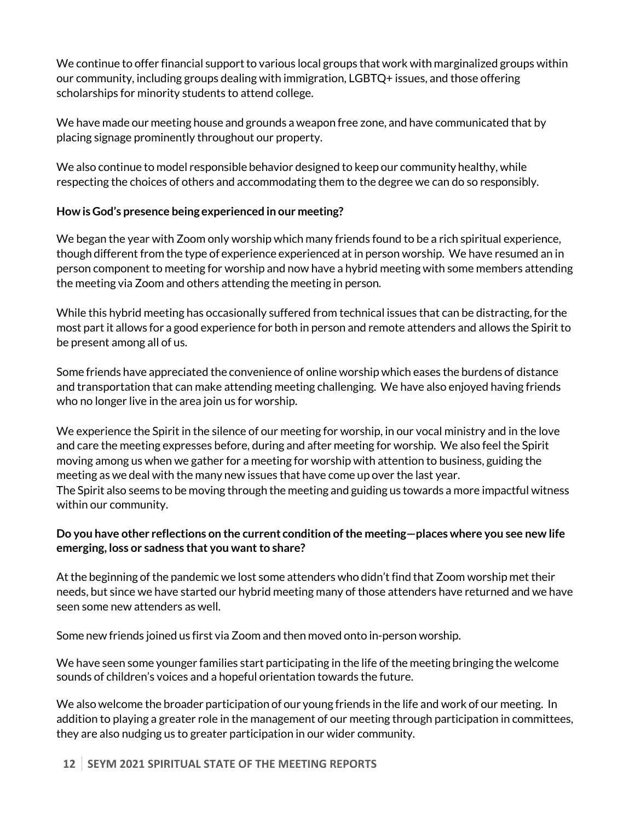We continue to offer financial support to various local groups that work with marginalized groups within our community, including groups dealing with immigration, LGBTQ+ issues, and those offering scholarships for minority students to attend college.

We have made our meeting house and grounds a weapon free zone, and have communicated that by placing signage prominently throughout our property.

We also continue to model responsible behavior designed to keep our community healthy, while respecting the choices of others and accommodating them to the degree we can do so responsibly.

#### **How is God's presence being experienced in our meeting?**

We began the year with Zoom only worship which many friends found to be a rich spiritual experience, though different from the type of experience experienced atin person worship. We have resumed an in person component to meeting for worship and now have a hybrid meeting with some members attending the meeting via Zoom and others attending the meeting in person.

While this hybrid meeting has occasionally suffered from technical issues that can be distracting, for the most part it allows for a good experience for both in person and remote attenders and allows the Spirit to be present among all of us.

Some friends have appreciated the convenience of online worship which eases the burdens of distance and transportation that can make attending meeting challenging. We have also enjoyed having friends who no longer live in the area join us for worship.

We experience the Spirit in the silence of our meeting for worship, in our vocal ministry and in the love and care the meeting expresses before, during and after meeting for worship. We also feel the Spirit moving among us when we gather for a meeting for worship with attention to business, guiding the meeting as we deal with the many new issues that have come up over the last year. The Spirit also seems to be moving through the meeting and guiding us towards a more impactful witness within our community.

#### **Do you have other reflections on the current condition ofthe meeting—places where you see new life emerging, loss or sadness that you want to share?**

At the beginning of the pandemic we lost some attenders who didn't find that Zoom worship met their needs, but since we have started our hybrid meeting many of those attenders have returned and we have seen some new attenders as well.

Some new friends joined us first via Zoom and then moved onto in-person worship.

We have seen some younger families start participating in the life of the meeting bringing the welcome sounds of children's voices and a hopeful orientation towards the future.

We also welcome the broader participation of our young friends in the life and work of our meeting. In addition to playing a greater role in the management of our meeting through participation in committees, they are also nudging us to greater participation in our wider community.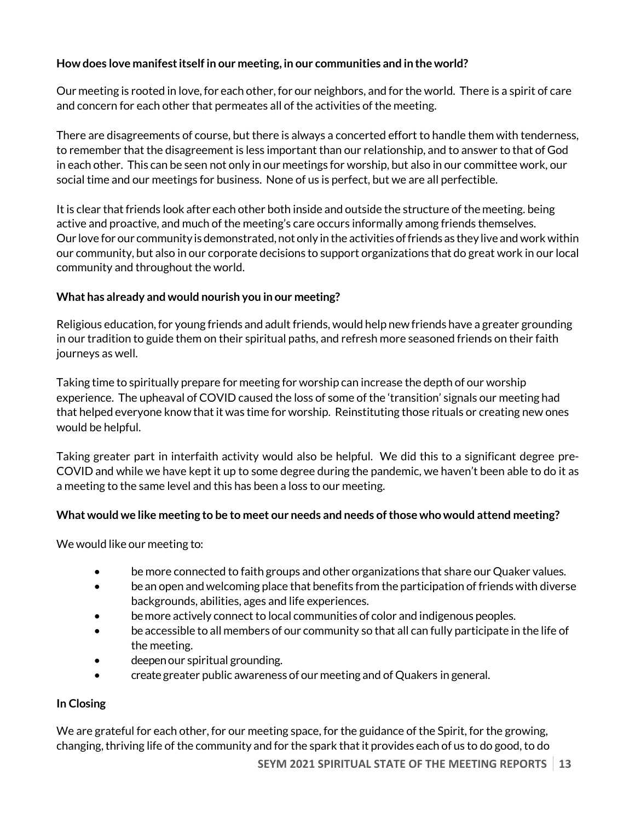#### **How does love manifestitselfin our meeting, in our communities and in the world?**

Our meeting is rooted in love, for each other, for our neighbors, and for the world. There is a spirit of care and concern for each other that permeates all of the activities of the meeting.

There are disagreements of course, but there is always a concerted effort to handle them with tenderness, to remember that the disagreement is less important than our relationship, and to answer to that of God in each other. This can be seen not only in our meetings for worship, but also in our committee work, our social time and our meetings for business. None of us is perfect, but we are all perfectible.

It is clear that friends look after each other both inside and outside the structure of the meeting. being active and proactive, and much of the meeting's care occurs informally among friends themselves. Our love for our community is demonstrated, not only in the activities of friends as they live and work within our community, but also in our corporate decisions to support organizations that do great work in our local community and throughout the world.

#### **What has already and would nourish you in our meeting?**

Religious education, for young friends and adult friends, would help new friends have a greater grounding in our tradition to guide them on their spiritual paths, and refresh more seasoned friends on their faith journeys as well.

Taking time to spiritually prepare for meeting for worship can increase the depth of our worship experience. The upheaval of COVID caused the loss of some of the 'transition' signals our meeting had that helped everyone know that it was time for worship. Reinstituting those rituals or creating new ones would be helpful.

Taking greater part in interfaith activity would also be helpful. We did this to a significant degree pre-COVID and while we have kept it up to some degree during the pandemic, we haven't been able to do it as a meeting to the same level and this has been a loss to our meeting.

#### **What would we like meeting to be to meet our needs and needs ofthose who would attend meeting?**

We would like our meeting to:

- be more connected to faith groups and other organizations that share our Quaker values.
- be an open and welcoming place that benefits from the participation of friends with diverse backgrounds, abilities, ages and life experiences.
- be more actively connect to local communities of color and indigenous peoples.
- be accessible to all members of our community so that all can fully participate in the life of the meeting.
- deepen our spiritual grounding.
- create greater public awareness of our meeting and of Quakers in general.

#### **In Closing**

We are grateful for each other, for our meeting space, for the guidance of the Spirit, for the growing, changing, thriving life of the community and for the spark that it provides each of us to do good, to do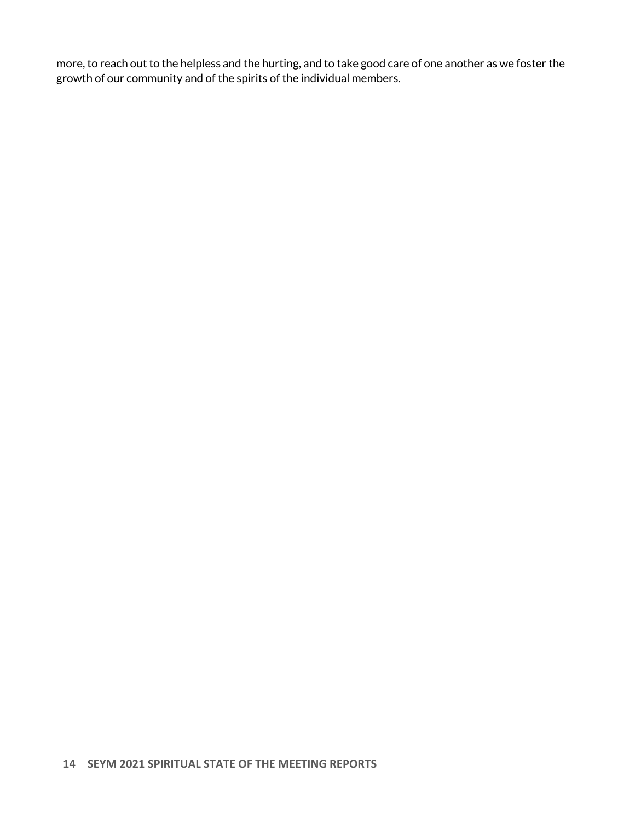more, to reach out to the helpless and the hurting, and to take good care of one another as we foster the growth of our community and of the spirits of the individual members.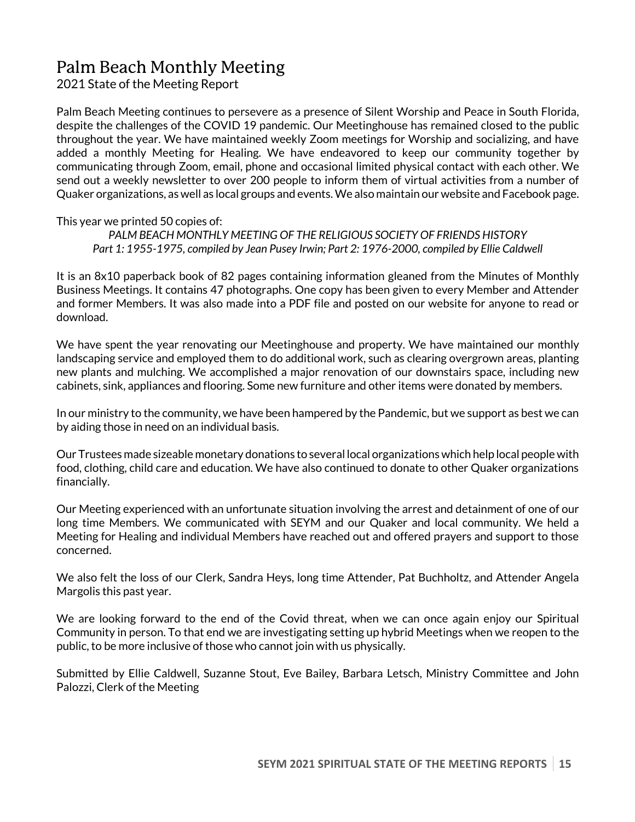# Palm Beach Monthly Meeting

2021 State of the Meeting Report

Palm Beach Meeting continues to persevere as a presence of Silent Worship and Peace in South Florida, despite the challenges of the COVID 19 pandemic. Our Meetinghouse has remained closed to the public throughout the year. We have maintained weekly Zoom meetings for Worship and socializing, and have added a monthly Meeting for Healing. We have endeavored to keep our community together by communicating through Zoom, email, phone and occasional limited physical contact with each other. We send out a weekly newsletter to over 200 people to inform them of virtual activities from a number of Quaker organizations, as well as local groups and events. We also maintain our website and Facebook page.

#### This year we printed 50 copies of:

*PALM BEACH MONTHLY MEETING OF THE RELIGIOUS SOCIETY OF FRIENDS HISTORY Part 1: 1955-1975, compiled by Jean Pusey Irwin; Part 2: 1976-2000, compiled by Ellie Caldwell*

It is an 8x10 paperback book of 82 pages containing information gleaned from the Minutes of Monthly Business Meetings. It contains 47 photographs. One copy has been given to every Member and Attender and former Members. It was also made into a PDF file and posted on our website for anyone to read or download.

We have spent the year renovating our Meetinghouse and property. We have maintained our monthly landscaping service and employed them to do additional work, such as clearing overgrown areas, planting new plants and mulching. We accomplished a major renovation of our downstairs space, including new cabinets, sink, appliances and flooring. Some new furniture and other items were donated by members.

In our ministry to the community, we have been hampered by the Pandemic, but we support as best we can by aiding those in need on an individual basis.

Our Trustees made sizeable monetary donations to several local organizations which help local people with food, clothing, child care and education. We have also continued to donate to other Quaker organizations financially.

Our Meeting experienced with an unfortunate situation involving the arrest and detainment of one of our long time Members. We communicated with SEYM and our Quaker and local community. We held a Meeting for Healing and individual Members have reached out and offered prayers and support to those concerned.

We also felt the loss of our Clerk, Sandra Heys, long time Attender, Pat Buchholtz, and Attender Angela Margolis this past year.

We are looking forward to the end of the Covid threat, when we can once again enjoy our Spiritual Community in person. To that end we are investigating setting up hybrid Meetings when we reopen to the public, to be more inclusive of those who cannot join with us physically.

Submitted by Ellie Caldwell, Suzanne Stout, Eve Bailey, Barbara Letsch, Ministry Committee and John Palozzi, Clerk of the Meeting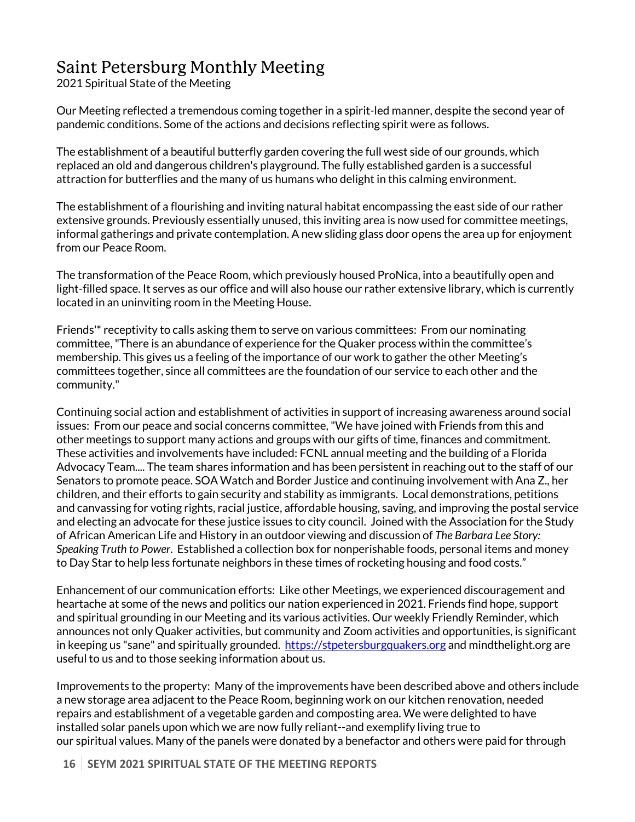## Saint Petersburg Monthly Meeting

2021 Spiritual State of the Meeting

Our Meeting reflected a tremendous coming together in a spirit-led manner, despite the second year of pandemic conditions. Some of the actions and decisions reflecting spirit were as follows.

The establishment of a beautiful butterfly garden covering the full west side of our grounds, which replaced an old and dangerous children's playground. The fully established garden is a successful attraction for butterflies and the many of us humans who delight in this calming environment.

The establishment of a flourishing and inviting natural habitat encompassing the east side of our rather extensive grounds. Previously essentially unused, this inviting area is now used for committee meetings, informal gatherings and private contemplation. A new sliding glass door opens the area up for enjoyment from our Peace Room.

The transformation of the Peace Room, which previously housed ProNica, into a beautifully open and light-filled space. It serves as our office and will also house our rather extensive library, which is currently located in an uninviting room in the Meeting House.

Friends'\* receptivity to calls asking them to serve on various committees: From our nominating committee, "There is an abundance of experience for the Quaker process within the committee's membership. This gives us a feeling of the importance of our work to gather the other Meeting's committees together, since all committees are the foundation of our service to each other and the community."

Continuing social action and establishment of activities in support of increasing awareness around social issues: From our peace and social concerns committee, "We have joined with Friends from this and other meetings to support many actions and groups with our gifts of time, finances and commitment. These activities and involvements have included: FCNL annual meeting and the building of a Florida Advocacy Team.... The team shares information and has been persistent in reaching out to the staff of our Senators to promote peace. SOA Watch and Border Justice and continuing involvement with Ana Z., her children, and their efforts to gain security and stability as immigrants. Local demonstrations, petitions and canvassing for voting rights, racial justice, affordable housing, saving, and improving the postal service and electing an advocate for these justice issues to city council. Joined with the Association for the Study of African American Life and History in an outdoor viewing and discussion of *The Barbara Lee Story: Speaking Truth to Power*. Established a collection box for nonperishable foods, personal items and money to Day Star to help less fortunate neighbors in these times of rocketing housing and food costs."

Enhancement of our communication efforts: Like other Meetings, we experienced discouragement and heartache at some of the news and politics our nation experienced in 2021. Friends find hope, support and spiritual grounding in our Meeting and its various activities. Our weekly Friendly Reminder, which announces not only Quaker activities, but community and Zoom activities and opportunities, is significant in keeping us "sane" and spiritually grounded. https://stpetersburgquakers.org and mindthelight.org are useful to us and to those seeking information about us.

Improvements to the property: Many of the improvements have been described above and others include a new storage area adjacent to the Peace Room, beginning work on our kitchen renovation, needed repairs and establishment of a vegetable garden and composting area. We were delighted to have installed solar panels upon which we are now fully reliant--and exemplify living true to our spiritual values. Many of the panels were donated by a benefactor and others were paid for through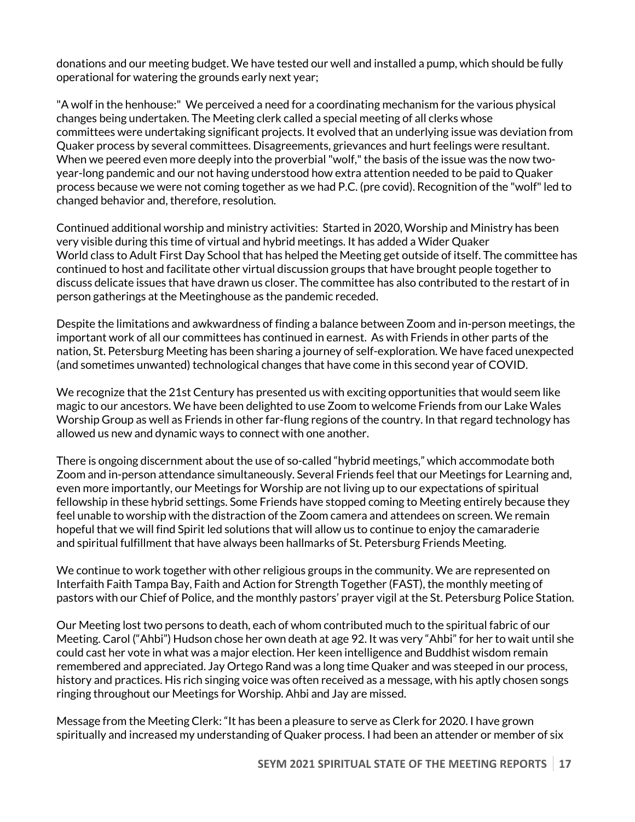donations and our meeting budget. We have tested our well and installed a pump, which should be fully operational for watering the grounds early next year;

"A wolf in the henhouse:" We perceived a need for a coordinating mechanism for the various physical changes being undertaken. The Meeting clerk called a special meeting of all clerks whose committees were undertaking significant projects. It evolved that an underlying issue was deviation from Quaker process by several committees. Disagreements, grievances and hurt feelings were resultant. When we peered even more deeply into the proverbial "wolf," the basis of the issue was the now twoyear-long pandemic and our not having understood how extra attention needed to be paid to Quaker process because we were not coming together as we had P.C. (pre covid). Recognition of the "wolf" led to changed behavior and, therefore, resolution.

Continued additional worship and ministry activities: Started in 2020, Worship and Ministry has been very visible during this time of virtual and hybrid meetings. It has added a Wider Quaker World class to Adult First Day School that has helped the Meeting get outside of itself. The committee has continued to host and facilitate other virtual discussion groups that have brought people together to discuss delicate issues that have drawn us closer. The committee has also contributed to the restart of in person gatherings at the Meetinghouse as the pandemic receded.

Despite the limitations and awkwardness of finding a balance between Zoom and in-person meetings, the important work of all our committees has continued in earnest. As with Friends in other parts of the nation, St. Petersburg Meeting has been sharing a journey of self-exploration. We have faced unexpected (and sometimes unwanted) technological changes that have come in this second year of COVID.

We recognize that the 21st Century has presented us with exciting opportunities that would seem like magic to our ancestors. We have been delighted to use Zoom to welcome Friends from our Lake Wales Worship Group as well as Friends in other far-flung regions of the country. In that regard technology has allowed us new and dynamic ways to connect with one another.

There is ongoing discernment about the use of so-called "hybrid meetings," which accommodate both Zoom and in-person attendance simultaneously. Several Friends feel that our Meetings for Learning and, even more importantly, our Meetings for Worship are not living up to our expectations of spiritual fellowship in these hybrid settings. Some Friends have stopped coming to Meeting entirely because they feel unable to worship with the distraction of the Zoom camera and attendees on screen. We remain hopeful that we will find Spirit led solutions that will allow us to continue to enjoy the camaraderie and spiritual fulfillment that have always been hallmarks of St. Petersburg Friends Meeting.

We continue to work together with other religious groups in the community. We are represented on Interfaith Faith Tampa Bay, Faith and Action for Strength Together (FAST), the monthly meeting of pastors with our Chief of Police, and the monthly pastors' prayer vigil at the St. Petersburg Police Station.

Our Meeting lost two persons to death, each of whom contributed much to the spiritual fabric of our Meeting. Carol ("Ahbi") Hudson chose her own death at age 92. It was very "Ahbi" for her to wait until she could cast her vote in what was a major election. Her keen intelligence and Buddhist wisdom remain remembered and appreciated. Jay Ortego Rand was a long time Quaker and was steeped in our process, history and practices. His rich singing voice was often received as a message, with his aptly chosen songs ringing throughout our Meetings for Worship. Ahbi and Jay are missed.

Message from the Meeting Clerk: "It has been a pleasure to serve as Clerk for 2020. I have grown spiritually and increased my understanding of Quaker process. I had been an attender or member of six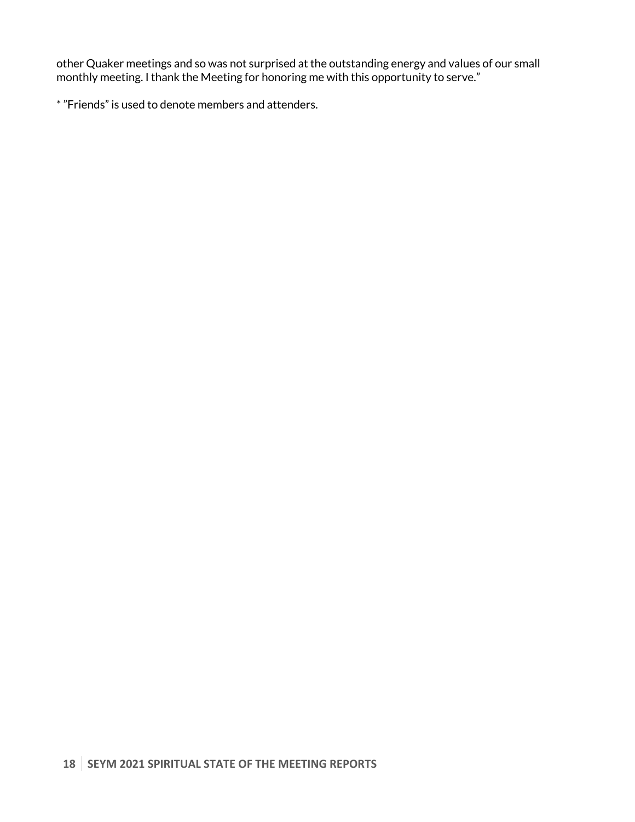other Quaker meetings and so was not surprised at the outstanding energy and values of our small monthly meeting. I thank the Meeting for honoring me with this opportunity to serve."

\* "Friends" is used to denote members and attenders.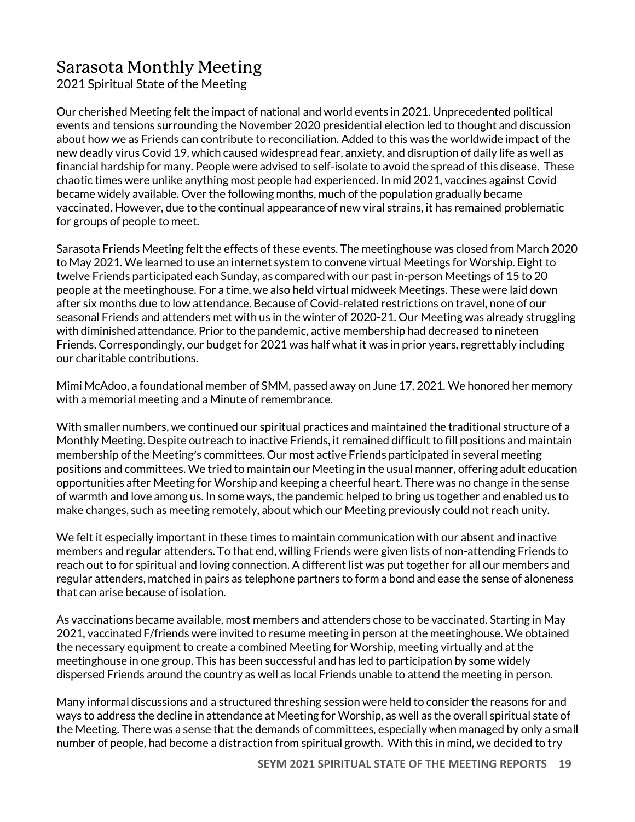# Sarasota Monthly Meeting

2021 Spiritual State of the Meeting

Our cherished Meeting felt the impact of national and world events in 2021. Unprecedented political events and tensions surrounding the November 2020 presidential election led to thought and discussion about how we as Friends can contribute to reconciliation. Added to this was the worldwide impact of the new deadly virus Covid 19, which caused widespread fear, anxiety, and disruption of daily life as well as financial hardship for many. People were advised to self-isolate to avoid the spread of this disease. These chaotic times were unlike anything most people had experienced. In mid 2021, vaccines against Covid became widely available. Over the following months, much of the population gradually became vaccinated. However, due to the continual appearance of new viral strains, it has remained problematic for groups of people to meet.

Sarasota Friends Meeting felt the effects of these events. The meetinghouse was closed from March 2020 to May 2021. We learned to use an internet system to convene virtual Meetings for Worship. Eight to twelve Friends participated each Sunday, as compared with our past in-person Meetings of 15 to 20 people at the meetinghouse. For a time, we also held virtual midweek Meetings. These were laid down after six months due to low attendance. Because of Covid-related restrictions on travel, none of our seasonal Friends and attenders met with us in the winter of 2020-21. Our Meeting was already struggling with diminished attendance. Prior to the pandemic, active membership had decreased to nineteen Friends. Correspondingly, our budget for 2021 was half what it was in prior years, regrettably including our charitable contributions.

Mimi McAdoo, a foundational member of SMM, passed away on June 17, 2021. We honored her memory with a memorial meeting and a Minute of remembrance.

With smaller numbers, we continued our spiritual practices and maintained the traditional structure of a Monthly Meeting. Despite outreach to inactive Friends, it remained difficult to fill positions and maintain membership of the Meeting's committees. Our most active Friends participated in several meeting positions and committees. We tried to maintain our Meeting in the usual manner, offering adult education opportunities after Meeting for Worship and keeping a cheerful heart. There was no change in the sense of warmth and love among us. In some ways, the pandemic helped to bring us together and enabled us to make changes, such as meeting remotely, about which our Meeting previously could not reach unity.

We felt it especially important in these times to maintain communication with our absent and inactive members and regular attenders. To that end, willing Friends were given lists of non-attending Friends to reach out to for spiritual and loving connection. A different list was put together for all our members and regular attenders, matched in pairs as telephone partners to form a bond and ease the sense of aloneness that can arise because of isolation.

As vaccinations became available, most members and attenders chose to be vaccinated. Starting in May 2021, vaccinated F/friends were invited to resume meeting in person at the meetinghouse. We obtained the necessary equipment to create a combined Meeting for Worship, meeting virtually and at the meetinghouse in one group. This has been successful and has led to participation by some widely dispersed Friends around the country as well as local Friends unable to attend the meeting in person.

Many informal discussions and a structured threshing session were held to consider the reasons for and ways to address the decline in attendance at Meeting for Worship, as well as the overall spiritual state of the Meeting. There was a sense that the demands of committees, especially when managed by only a small number of people, had become a distraction from spiritual growth. With this in mind, we decided to try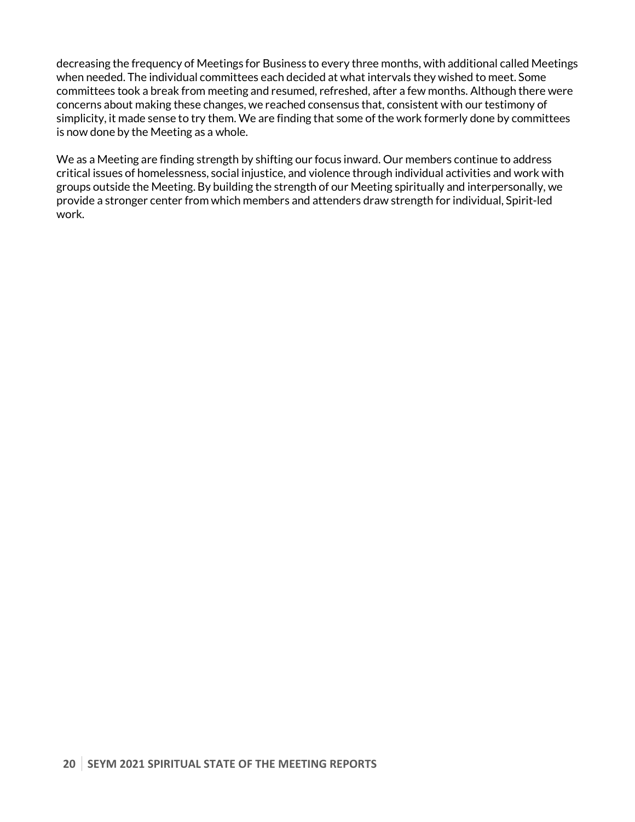decreasing the frequency of Meetings for Business to every three months, with additional called Meetings when needed. The individual committees each decided at what intervals they wished to meet. Some committees took a break from meeting and resumed, refreshed, after a few months. Although there were concerns about making these changes, we reached consensus that, consistent with our testimony of simplicity, it made sense to try them. We are finding that some of the work formerly done by committees is now done by the Meeting as a whole.

We as a Meeting are finding strength by shifting our focus inward. Our members continue to address critical issues of homelessness, social injustice, and violence through individual activities and work with groups outside the Meeting. By building the strength of our Meeting spiritually and interpersonally, we provide a stronger center from which members and attenders draw strength for individual, Spirit-led work.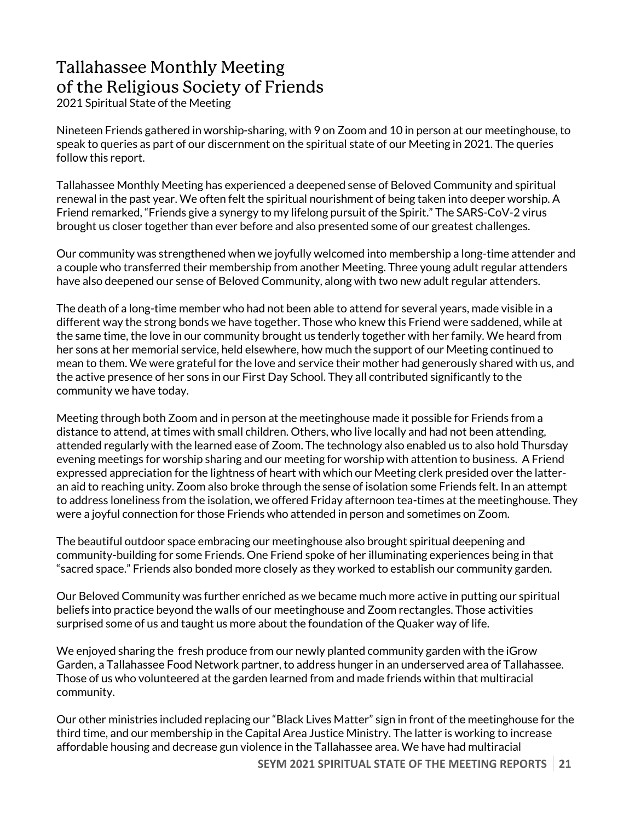# Tallahassee Monthly Meeting of the Religious Society of Friends

2021 Spiritual State of the Meeting

Nineteen Friends gathered in worship-sharing, with 9 on Zoom and 10 in person at our meetinghouse, to speak to queries as part of our discernment on the spiritual state of our Meeting in 2021. The queries follow this report.

Tallahassee Monthly Meeting has experienced a deepened sense of Beloved Community and spiritual renewal in the past year. We often felt the spiritual nourishment of being taken into deeper worship. A Friend remarked, "Friends give a synergy to my lifelong pursuit of the Spirit." The SARS-CoV-2 virus brought us closer together than ever before and also presented some of our greatest challenges.

Our community was strengthened when we joyfully welcomed into membership a long-time attender and a couple who transferred their membership from another Meeting. Three young adult regular attenders have also deepened our sense of Beloved Community, along with two new adult regular attenders.

The death of a long-time member who had not been able to attend for several years, made visible in a different way the strong bonds we have together. Those who knew this Friend were saddened, while at the same time, the love in our community brought us tenderly together with her family. We heard from her sons at her memorial service, held elsewhere, how much the support of our Meeting continued to mean to them. We were grateful for the love and service their mother had generously shared with us, and the active presence of her sons in our First Day School. They all contributed significantly to the community we have today.

Meeting through both Zoom and in person at the meetinghouse made it possible for Friends from a distance to attend, at times with small children. Others, who live locally and had not been attending, attended regularly with the learned ease of Zoom. The technology also enabled us to also hold Thursday evening meetings for worship sharing and our meeting for worship with attention to business. A Friend expressed appreciation for the lightness of heart with which our Meeting clerk presided over the latteran aid to reaching unity. Zoom also broke through the sense of isolation some Friends felt. In an attempt to address loneliness from the isolation, we offered Friday afternoon tea-times at the meetinghouse. They were a joyful connection for those Friends who attended in person and sometimes on Zoom.

The beautiful outdoor space embracing our meetinghouse also brought spiritual deepening and community-building for some Friends. One Friend spoke of her illuminating experiences being in that "sacred space." Friends also bonded more closely as they worked to establish our community garden.

Our Beloved Community was further enriched as we became much more active in putting our spiritual beliefs into practice beyond the walls of our meetinghouse and Zoom rectangles. Those activities surprised some of us and taught us more about the foundation of the Quaker way of life.

We enjoyed sharing the fresh produce from our newly planted community garden with the iGrow Garden, a Tallahassee Food Network partner, to address hunger in an underserved area of Tallahassee. Those of us who volunteered at the garden learned from and made friends within that multiracial community.

Our other ministries included replacing our "Black Lives Matter" sign in front of the meetinghouse for the third time, and our membership in the Capital Area Justice Ministry. The latter is working to increase affordable housing and decrease gun violence in the Tallahassee area. We have had multiracial

**SEYM 2021 SPIRITUAL STATE OF THE MEETING REPORTS 21**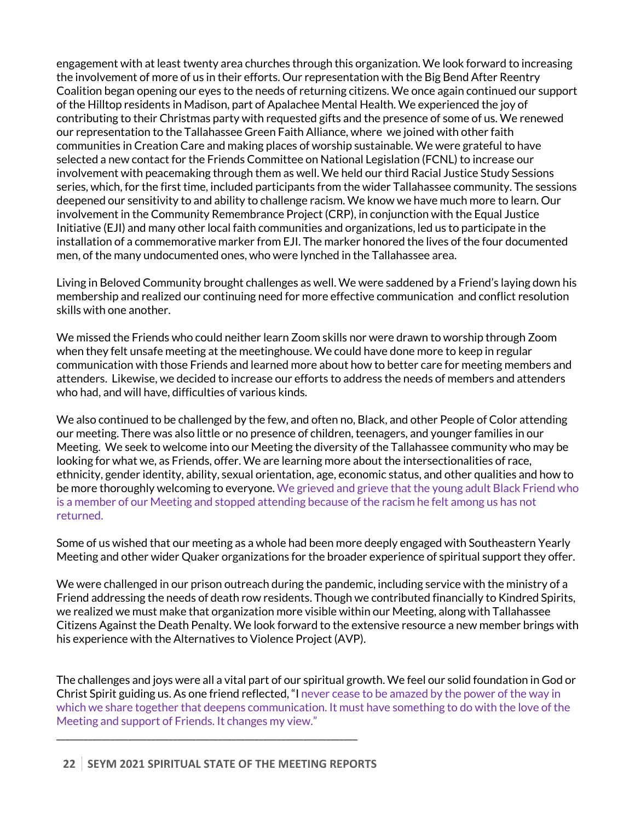engagement with at least twenty area churches through this organization. We look forward to increasing the involvement of more of us in their efforts. Our representation with the Big Bend After Reentry Coalition began opening our eyes to the needs of returning citizens. We once again continued our support of the Hilltop residents in Madison, part of Apalachee Mental Health. We experienced the joy of contributing to their Christmas party with requested gifts and the presence of some of us. We renewed our representation to the Tallahassee Green Faith Alliance, where we joined with other faith communities in Creation Care and making places of worship sustainable. We were grateful to have selected a new contact for the Friends Committee on National Legislation (FCNL) to increase our involvement with peacemaking through them as well. We held our third Racial Justice Study Sessions series, which, for the first time, included participants from the wider Tallahassee community. The sessions deepened our sensitivity to and ability to challenge racism. We know we have much more to learn. Our involvement in the Community Remembrance Project (CRP), in conjunction with the Equal Justice Initiative (EJI) and many other local faith communities and organizations, led us to participate in the installation of a commemorative marker from EJI. The marker honored the lives of the four documented men, of the many undocumented ones, who were lynched in the Tallahassee area.

Living in Beloved Community brought challenges as well. We were saddened by a Friend's laying down his membership and realized our continuing need for more effective communication and conflict resolution skills with one another.

We missed the Friends who could neither learn Zoom skills nor were drawn to worship through Zoom when they felt unsafe meeting at the meetinghouse. We could have done more to keep in regular communication with those Friends and learned more about how to better care for meeting members and attenders. Likewise, we decided to increase our efforts to address the needs of members and attenders who had, and will have, difficulties of various kinds.

We also continued to be challenged by the few, and often no, Black, and other People of Color attending our meeting. There was also little or no presence of children, teenagers, and younger families in our Meeting. We seek to welcome into our Meeting the diversity of the Tallahassee community who may be looking for what we, as Friends, offer. We are learning more about the intersectionalities of race, ethnicity, gender identity, ability, sexual orientation, age, economic status, and other qualities and how to be more thoroughly welcoming to everyone. We grieved and grieve that the young adult Black Friend who is a member of our Meeting and stopped attending because of the racism he felt among us has not returned.

Some of us wished that our meeting as a whole had been more deeply engaged with Southeastern Yearly Meeting and other wider Quaker organizations for the broader experience of spiritual support they offer.

We were challenged in our prison outreach during the pandemic, including service with the ministry of a Friend addressing the needs of death row residents. Though we contributed financially to Kindred Spirits, we realized we must make that organization more visible within our Meeting, along with Tallahassee Citizens Against the Death Penalty. We look forward to the extensive resource a new member brings with his experience with the Alternatives to Violence Project (AVP).

The challenges and joys were all a vital part of our spiritual growth. We feel our solid foundation in God or Christ Spirit guiding us. As one friend reflected, "I never cease to be amazed by the power of the way in which we share together that deepens communication. It must have something to do with the love of the Meeting and support of Friends. It changes my view."

\_\_\_\_\_\_\_\_\_\_\_\_\_\_\_\_\_\_\_\_\_\_\_\_\_\_\_\_\_\_\_\_\_\_\_\_\_\_\_\_\_\_\_\_\_\_\_\_\_\_\_\_\_\_\_\_\_\_\_\_\_\_\_\_\_\_\_